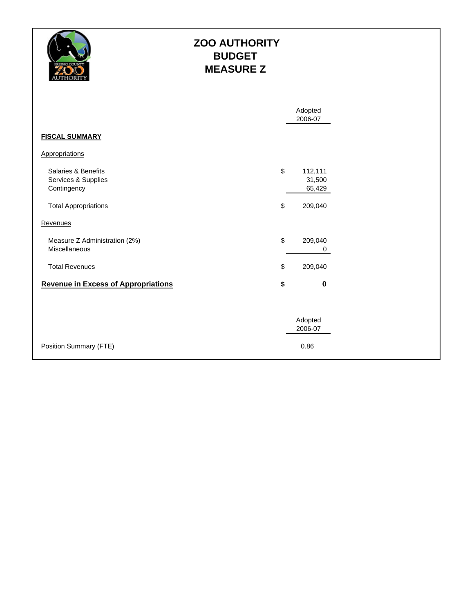

#### **ZOO AUTHORITY BUDGET MEASURE Z**

|                                                                                          |          | Adopted<br>2006-07                     |
|------------------------------------------------------------------------------------------|----------|----------------------------------------|
| <b>FISCAL SUMMARY</b>                                                                    |          |                                        |
| Appropriations                                                                           |          |                                        |
| Salaries & Benefits<br>Services & Supplies<br>Contingency<br><b>Total Appropriations</b> | \$<br>\$ | 112,111<br>31,500<br>65,429<br>209,040 |
| Revenues                                                                                 |          |                                        |
| Measure Z Administration (2%)<br>Miscellaneous                                           | \$       | 209,040<br>0                           |
| <b>Total Revenues</b>                                                                    | \$       | 209,040                                |
| <b>Revenue in Excess of Appropriations</b>                                               | \$       | $\mathbf 0$                            |
|                                                                                          |          | Adopted<br>2006-07                     |
| Position Summary (FTE)                                                                   |          | 0.86                                   |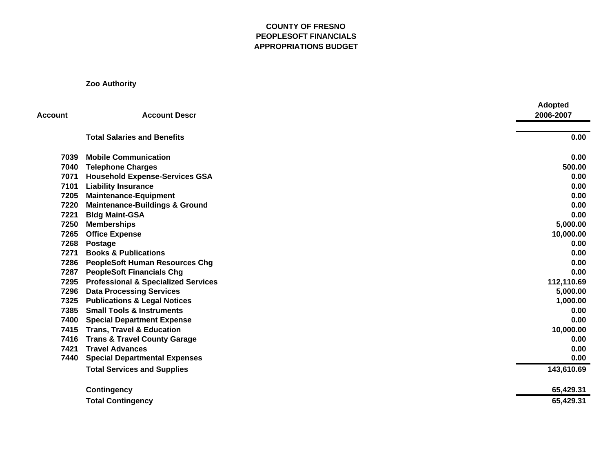#### **COUNTY OF FRESNO PEOPLESOFT FINANCIALS APPROPRIATIONS BUDGET**

**Zoo Authority**

| <b>Account</b> | <b>Account Descr</b>                           | <b>Adopted</b><br>2006-2007 |
|----------------|------------------------------------------------|-----------------------------|
|                | <b>Total Salaries and Benefits</b>             | 0.00                        |
| 7039           | <b>Mobile Communication</b>                    | 0.00                        |
| 7040           | <b>Telephone Charges</b>                       | 500.00                      |
| 7071           | <b>Household Expense-Services GSA</b>          | 0.00                        |
| 7101           | <b>Liability Insurance</b>                     | 0.00                        |
| 7205           | <b>Maintenance-Equipment</b>                   | 0.00                        |
| 7220           | <b>Maintenance-Buildings &amp; Ground</b>      | 0.00                        |
| 7221           | <b>Bldg Maint-GSA</b>                          | 0.00                        |
| 7250           | <b>Memberships</b>                             | 5,000.00                    |
| 7265           | <b>Office Expense</b>                          | 10,000.00                   |
| 7268           | Postage                                        | 0.00                        |
| 7271           | <b>Books &amp; Publications</b>                | 0.00                        |
| 7286           | <b>PeopleSoft Human Resources Chg</b>          | 0.00                        |
| 7287           | <b>PeopleSoft Financials Chg</b>               | 0.00                        |
| 7295           | <b>Professional &amp; Specialized Services</b> | 112,110.69                  |
| 7296           | <b>Data Processing Services</b>                | 5,000.00                    |
| 7325           | <b>Publications &amp; Legal Notices</b>        | 1,000.00                    |
| 7385           | <b>Small Tools &amp; Instruments</b>           | 0.00                        |
| 7400           | <b>Special Department Expense</b>              | 0.00                        |
| 7415           | <b>Trans, Travel &amp; Education</b>           | 10,000.00                   |
| 7416           | <b>Trans &amp; Travel County Garage</b>        | 0.00                        |
| 7421           | <b>Travel Advances</b>                         | 0.00                        |
| 7440           | <b>Special Departmental Expenses</b>           | 0.00                        |
|                | <b>Total Services and Supplies</b>             | 143,610.69                  |
|                | <b>Contingency</b>                             | 65,429.31                   |
|                | <b>Total Contingency</b>                       | 65,429.31                   |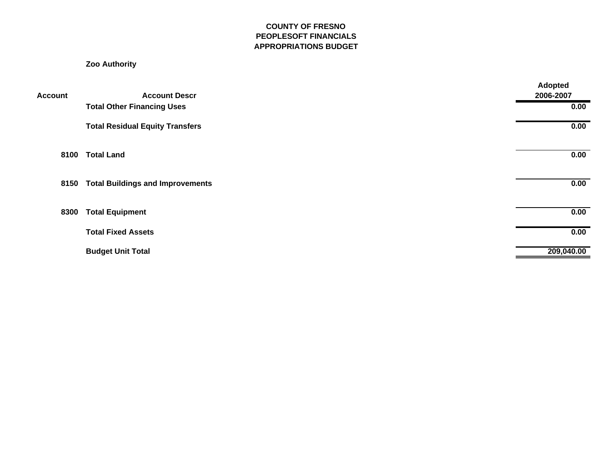#### **COUNTY OF FRESNO PEOPLESOFT FINANCIALS APPROPRIATIONS BUDGET**

#### **Zoo Authority**

| Account | <b>Account Descr</b>                    | <b>Adopted</b><br>2006-2007 |
|---------|-----------------------------------------|-----------------------------|
|         | <b>Total Other Financing Uses</b>       | 0.00                        |
|         | <b>Total Residual Equity Transfers</b>  | 0.00                        |
| 8100    | <b>Total Land</b>                       | 0.00                        |
| 8150    | <b>Total Buildings and Improvements</b> | 0.00                        |
| 8300    | <b>Total Equipment</b>                  | 0.00                        |
|         | <b>Total Fixed Assets</b>               | 0.00                        |
|         | <b>Budget Unit Total</b>                | 209,040.00                  |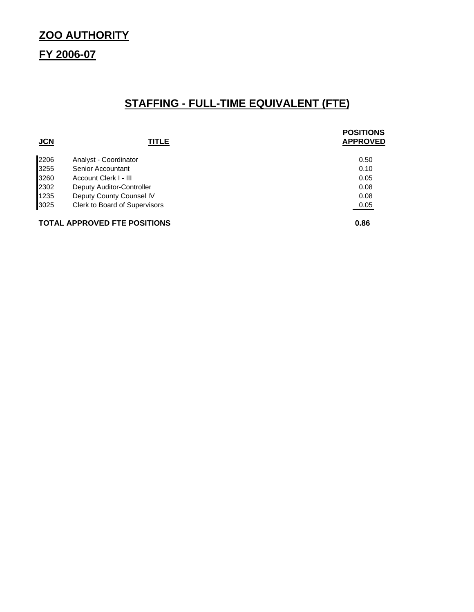## **ZOO AUTHORITY**

## **FY 2006-07**

## **STAFFING - FULL-TIME EQUIVALENT (FTE)**

| JCN  | <b>TITLE</b>                         | <b>POSITIONS</b><br><b>APPROVED</b> |
|------|--------------------------------------|-------------------------------------|
| 2206 | Analyst - Coordinator                | 0.50                                |
| 3255 | Senior Accountant                    | 0.10                                |
| 3260 | Account Clerk I - III                | 0.05                                |
| 2302 | Deputy Auditor-Controller            | 0.08                                |
| 1235 | Deputy County Counsel IV             | 0.08                                |
| 3025 | <b>Clerk to Board of Supervisors</b> | 0.05                                |
|      | <b>TOTAL APPROVED FTE POSITIONS</b>  | 0.86                                |